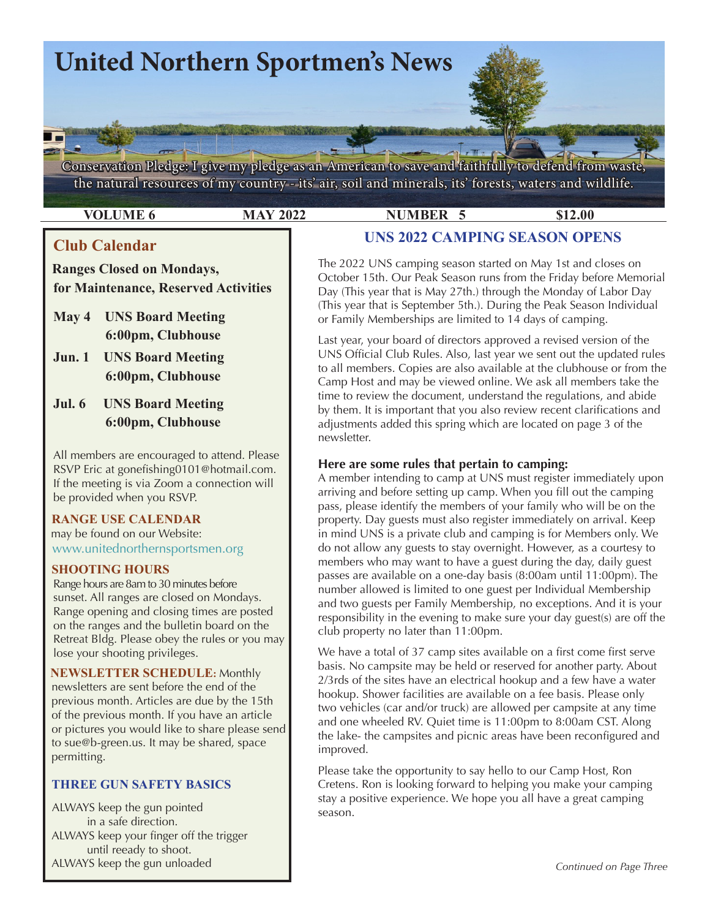

**VOLUME 6 MAY 2022 NUMBER 5 \$12.00** 

# **Club Calendar**

 **Ranges Closed on Mondays, for Maintenance, Reserved Activities**

- **May 4 UNS Board Meeting 6:00pm, Clubhouse**
- **Jun. 1 UNS Board Meeting 6:00pm, Clubhouse**
- **Jul. 6 UNS Board Meeting 6:00pm, Clubhouse**

All members are encouraged to attend. Please RSVP Eric at gonefishing0101@hotmail.com. If the meeting is via Zoom a connection will be provided when you RSVP.

# **RANGE USE CALENDAR**

may be found on our Website: [www.unitednorthernsportsmen.or](http://www.unitednorthernsportsmen.org)g

## **SHOOTING HOURS**

 Range hours are 8am to 30 minutes before sunset. All ranges are closed on Mondays. Range opening and closing times are posted on the ranges and the bulletin board on the Retreat Bldg. Please obey the rules or you may lose your shooting privileges.

 **NEWSLETTER SCHEDULE:** Monthly newsletters are sent before the end of the previous month. Articles are due by the 15th of the previous month. If you have an article or pictures you would like to share please send to sue@b-green.us. It may be shared, space permitting.

## **THREE GUN SAFETY BASICS**

ALWAYS keep the gun pointed in a safe direction. ALWAYS keep your finger off the trigger until reeady to shoot. ALWAYS keep the gun unloaded

**UNS 2022 CAMPING SEASON OPENS**

The 2022 UNS camping season started on May 1st and closes on October 15th. Our Peak Season runs from the Friday before Memorial Day (This year that is May 27th.) through the Monday of Labor Day (This year that is September 5th.). During the Peak Season Individual or Family Memberships are limited to 14 days of camping.

Last year, your board of directors approved a revised version of the UNS Official Club Rules. Also, last year we sent out the updated rules to all members. Copies are also available at the clubhouse or from the Camp Host and may be viewed online. We ask all members take the time to review the document, understand the regulations, and abide by them. It is important that you also review recent clarifications and adjustments added this spring which are located on page 3 of the newsletter.

## **Here are some rules that pertain to camping:**

A member intending to camp at UNS must register immediately upon arriving and before setting up camp. When you fill out the camping pass, please identify the members of your family who will be on the property. Day guests must also register immediately on arrival. Keep in mind UNS is a private club and camping is for Members only. We do not allow any guests to stay overnight. However, as a courtesy to members who may want to have a guest during the day, daily guest passes are available on a one-day basis (8:00am until 11:00pm). The number allowed is limited to one guest per Individual Membership and two guests per Family Membership, no exceptions. And it is your responsibility in the evening to make sure your day guest(s) are off the club property no later than 11:00pm.

We have a total of 37 camp sites available on a first come first serve basis. No campsite may be held or reserved for another party. About 2/3rds of the sites have an electrical hookup and a few have a water hookup. Shower facilities are available on a fee basis. Please only two vehicles (car and/or truck) are allowed per campsite at any time and one wheeled RV. Quiet time is 11:00pm to 8:00am CST. Along the lake- the campsites and picnic areas have been reconfigured and improved.

Please take the opportunity to say hello to our Camp Host, Ron Cretens. Ron is looking forward to helping you make your camping stay a positive experience. We hope you all have a great camping season.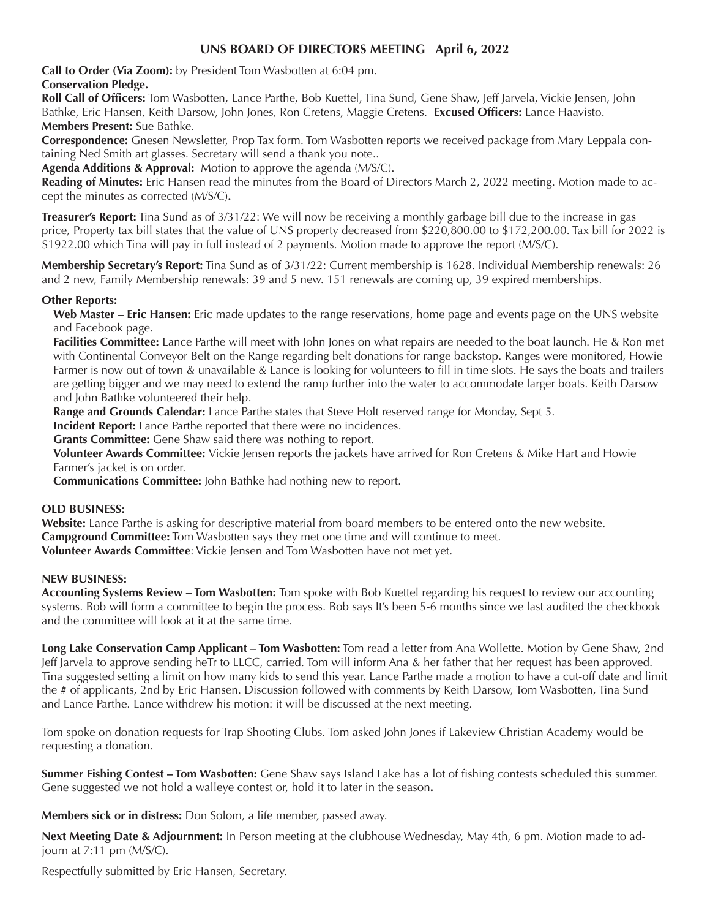## **UNS BOARD OF DIRECTORS MEETING April 6, 2022**

**Call to Order (Via Zoom):** by President Tom Wasbotten at 6:04 pm.

 **Conservation Pledge. Roll Call of Officers:** Tom Wasbotten, Lance Parthe, Bob Kuettel, Tina Sund, Gene Shaw, Jeff Jarvela, Vickie Jensen, John Bathke, Eric Hansen, Keith Darsow, John Jones, Ron Cretens, Maggie Cretens. **Excused Officers:** Lance Haavisto. **Members Present:** Sue Bathke.

**Correspondence:** Gnesen Newsletter, Prop Tax form. Tom Wasbotten reports we received package from Mary Leppala containing Ned Smith art glasses. Secretary will send a thank you note..

**Agenda Additions & Approval:** Motion to approve the agenda (M/S/C).

**Reading of Minutes:** Eric Hansen read the minutes from the Board of Directors March 2, 2022 meeting. Motion made to accept the minutes as corrected (M/S/C)**.**

**Treasurer's Report:** Tina Sund as of 3/31/22: We will now be receiving a monthly garbage bill due to the increase in gas price, Property tax bill states that the value of UNS property decreased from \$220,800.00 to \$172,200.00. Tax bill for 2022 is \$1922.00 which Tina will pay in full instead of 2 payments. Motion made to approve the report (M/S/C).

**Membership Secretary's Report:** Tina Sund as of 3/31/22: Current membership is 1628. Individual Membership renewals: 26 and 2 new, Family Membership renewals: 39 and 5 new. 151 renewals are coming up, 39 expired memberships.

#### **Other Reports:**

**Web Master – Eric Hansen:** Eric made updates to the range reservations, home page and events page on the UNS website and Facebook page.

**Facilities Committee:** Lance Parthe will meet with John Jones on what repairs are needed to the boat launch. He & Ron met with Continental Conveyor Belt on the Range regarding belt donations for range backstop. Ranges were monitored, Howie Farmer is now out of town & unavailable & Lance is looking for volunteers to fill in time slots. He says the boats and trailers are getting bigger and we may need to extend the ramp further into the water to accommodate larger boats. Keith Darsow and John Bathke volunteered their help.

**Range and Grounds Calendar:** Lance Parthe states that Steve Holt reserved range for Monday, Sept 5.

**Incident Report:** Lance Parthe reported that there were no incidences.

**Grants Committee:** Gene Shaw said there was nothing to report.

**Volunteer Awards Committee:** Vickie Jensen reports the jackets have arrived for Ron Cretens & Mike Hart and Howie Farmer's jacket is on order.

**Communications Committee:** John Bathke had nothing new to report.

#### **OLD BUSINESS:**

**Website:** Lance Parthe is asking for descriptive material from board members to be entered onto the new website. **Campground Committee:** Tom Wasbotten says they met one time and will continue to meet. **Volunteer Awards Committee**: Vickie Jensen and Tom Wasbotten have not met yet.

#### **NEW BUSINESS:**

**Accounting Systems Review – Tom Wasbotten:** Tom spoke with Bob Kuettel regarding his request to review our accounting systems. Bob will form a committee to begin the process. Bob says It's been 5-6 months since we last audited the checkbook and the committee will look at it at the same time.

**Long Lake Conservation Camp Applicant – Tom Wasbotten:** Tom read a letter from Ana Wollette. Motion by Gene Shaw, 2nd Jeff Jarvela to approve sending heTr to LLCC, carried. Tom will inform Ana & her father that her request has been approved. Tina suggested setting a limit on how many kids to send this year. Lance Parthe made a motion to have a cut-off date and limit the # of applicants, 2nd by Eric Hansen. Discussion followed with comments by Keith Darsow, Tom Wasbotten, Tina Sund and Lance Parthe. Lance withdrew his motion: it will be discussed at the next meeting.

Tom spoke on donation requests for Trap Shooting Clubs. Tom asked John Jones if Lakeview Christian Academy would be requesting a donation.

**Summer Fishing Contest – Tom Wasbotten:** Gene Shaw says Island Lake has a lot of fishing contests scheduled this summer. Gene suggested we not hold a walleye contest or, hold it to later in the season**.** 

**Members sick or in distress:** Don Solom, a life member, passed away.

**Next Meeting Date & Adjournment:** In Person meeting at the clubhouse Wednesday, May 4th, 6 pm. Motion made to adjourn at 7:11 pm (M/S/C).

Respectfully submitted by Eric Hansen, Secretary.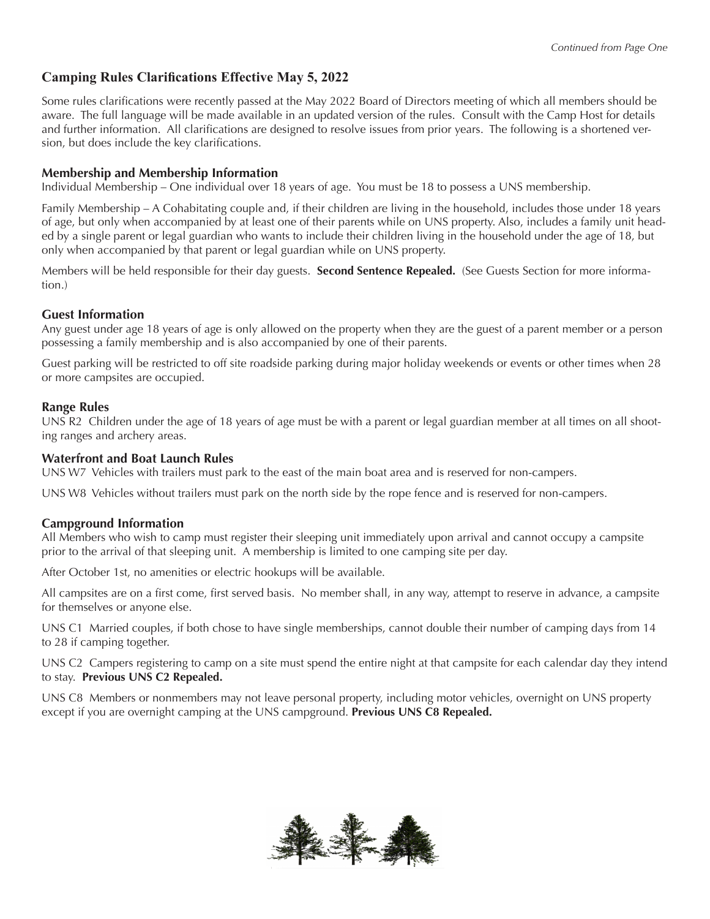# **Camping Rules Clarifications Effective May 5, 2022**

Some rules clarifications were recently passed at the May 2022 Board of Directors meeting of which all members should be aware. The full language will be made available in an updated version of the rules. Consult with the Camp Host for details and further information. All clarifications are designed to resolve issues from prior years. The following is a shortened version, but does include the key clarifications.

#### **Membership and Membership Information**

Individual Membership – One individual over 18 years of age. You must be 18 to possess a UNS membership.

Family Membership – A Cohabitating couple and, if their children are living in the household, includes those under 18 years of age, but only when accompanied by at least one of their parents while on UNS property. Also, includes a family unit headed by a single parent or legal guardian who wants to include their children living in the household under the age of 18, but only when accompanied by that parent or legal guardian while on UNS property.

Members will be held responsible for their day guests. **Second Sentence Repealed.** (See Guests Section for more information.)

### **Guest Information**

Any guest under age 18 years of age is only allowed on the property when they are the guest of a parent member or a person possessing a family membership and is also accompanied by one of their parents.

Guest parking will be restricted to off site roadside parking during major holiday weekends or events or other times when 28 or more campsites are occupied.

#### **Range Rules**

UNS R2 Children under the age of 18 years of age must be with a parent or legal guardian member at all times on all shooting ranges and archery areas.

#### **Waterfront and Boat Launch Rules**

UNS W7 Vehicles with trailers must park to the east of the main boat area and is reserved for non-campers.

UNS W8 Vehicles without trailers must park on the north side by the rope fence and is reserved for non-campers.

#### **Campground Information**

All Members who wish to camp must register their sleeping unit immediately upon arrival and cannot occupy a campsite prior to the arrival of that sleeping unit. A membership is limited to one camping site per day.

After October 1st, no amenities or electric hookups will be available.

All campsites are on a first come, first served basis. No member shall, in any way, attempt to reserve in advance, a campsite for themselves or anyone else.

UNS C1 Married couples, if both chose to have single memberships, cannot double their number of camping days from 14 to 28 if camping together.

UNS C2 Campers registering to camp on a site must spend the entire night at that campsite for each calendar day they intend to stay. **Previous UNS C2 Repealed.**

UNS C8 Members or nonmembers may not leave personal property, including motor vehicles, overnight on UNS property except if you are overnight camping at the UNS campground. **Previous UNS C8 Repealed.**

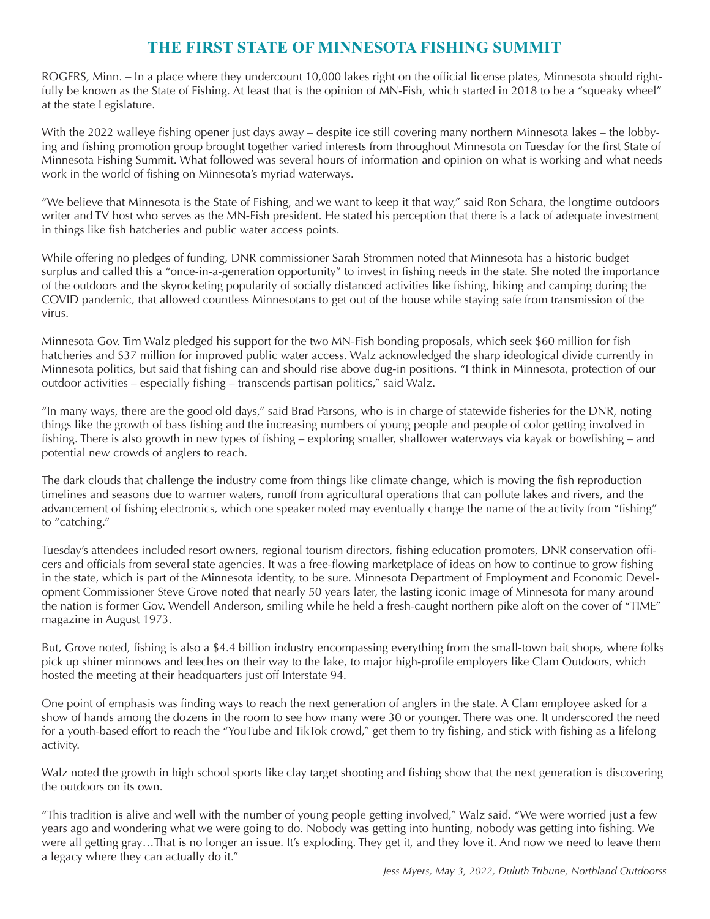# **THE FIRST STATE OF MINNESOTA FISHING SUMMIT**

ROGERS, Minn. – In a place where they undercount 10,000 lakes right on the official license plates, Minnesota should rightfully be known as the State of Fishing. At least that is the opinion of MN-Fish, which started in 2018 to be a "squeaky wheel" at the state Legislature.

With the 2022 walleye fishing opener just days away – despite ice still covering many northern Minnesota lakes – the lobbying and fishing promotion group brought together varied interests from throughout Minnesota on Tuesday for the first State of Minnesota Fishing Summit. What followed was several hours of information and opinion on what is working and what needs work in the world of fishing on Minnesota's myriad waterways.

"We believe that Minnesota is the State of Fishing, and we want to keep it that way," said Ron Schara, the longtime outdoors writer and TV host who serves as the MN-Fish president. He stated his perception that there is a lack of adequate investment in things like fish hatcheries and public water access points.

While offering no pledges of funding, DNR commissioner Sarah Strommen noted that Minnesota has a historic budget surplus and called this a "once-in-a-generation opportunity" to invest in fishing needs in the state. She noted the importance of the outdoors and the skyrocketing popularity of socially distanced activities like fishing, hiking and camping during the COVID pandemic, that allowed countless Minnesotans to get out of the house while staying safe from transmission of the virus.

Minnesota Gov. Tim Walz pledged his support for the two MN-Fish bonding proposals, which seek \$60 million for fish hatcheries and \$37 million for improved public water access. Walz acknowledged the sharp ideological divide currently in Minnesota politics, but said that fishing can and should rise above dug-in positions. "I think in Minnesota, protection of our outdoor activities – especially fishing – transcends partisan politics," said Walz.

"In many ways, there are the good old days," said Brad Parsons, who is in charge of statewide fisheries for the DNR, noting things like the growth of bass fishing and the increasing numbers of young people and people of color getting involved in fishing. There is also growth in new types of fishing – exploring smaller, shallower waterways via kayak or bowfishing – and potential new crowds of anglers to reach.

The dark clouds that challenge the industry come from things like climate change, which is moving the fish reproduction timelines and seasons due to warmer waters, runoff from agricultural operations that can pollute lakes and rivers, and the advancement of fishing electronics, which one speaker noted may eventually change the name of the activity from "fishing" to "catching."

Tuesday's attendees included resort owners, regional tourism directors, fishing education promoters, DNR conservation officers and officials from several state agencies. It was a free-flowing marketplace of ideas on how to continue to grow fishing in the state, which is part of the Minnesota identity, to be sure. Minnesota Department of Employment and Economic Development Commissioner Steve Grove noted that nearly 50 years later, the lasting iconic image of Minnesota for many around the nation is former Gov. Wendell Anderson, smiling while he held a fresh-caught northern pike aloft on the cover of "TIME" magazine in August 1973.

But, Grove noted, fishing is also a \$4.4 billion industry encompassing everything from the small-town bait shops, where folks pick up shiner minnows and leeches on their way to the lake, to major high-profile employers like Clam Outdoors, which hosted the meeting at their headquarters just off Interstate 94.

One point of emphasis was finding ways to reach the next generation of anglers in the state. A Clam employee asked for a show of hands among the dozens in the room to see how many were 30 or younger. There was one. It underscored the need for a youth-based effort to reach the "YouTube and TikTok crowd," get them to try fishing, and stick with fishing as a lifelong activity.

Walz noted the growth in high school sports like clay target shooting and fishing show that the next generation is discovering the outdoors on its own.

"This tradition is alive and well with the number of young people getting involved," Walz said. "We were worried just a few years ago and wondering what we were going to do. Nobody was getting into hunting, nobody was getting into fishing. We were all getting gray…That is no longer an issue. It's exploding. They get it, and they love it. And now we need to leave them a legacy where they can actually do it."